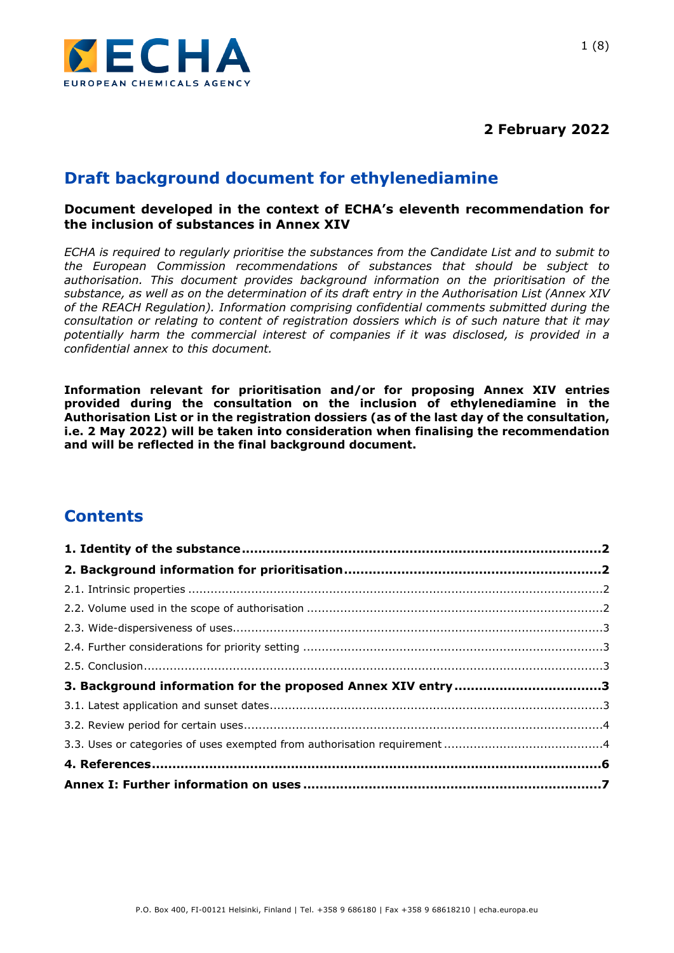

**2 February 2022**

# **Draft background document for ethylenediamine**

### **Document developed in the context of ECHA's eleventh recommendation for the inclusion of substances in Annex XIV**

*ECHA is required to regularly prioritise the substances from the Candidate List and to submit to the European Commission recommendations of substances that should be subject to authorisation. This document provides background information on the prioritisation of the substance, as well as on the determination of its draft entry in the Authorisation List (Annex XIV of the REACH Regulation). Information comprising confidential comments submitted during the consultation or relating to content of registration dossiers which is of such nature that it may potentially harm the commercial interest of companies if it was disclosed, is provided in a confidential annex to this document.*

**Information relevant for prioritisation and/or for proposing Annex XIV entries provided during the consultation on the inclusion of ethylenediamine in the Authorisation List or in the registration dossiers (as of the last day of the consultation, i.e. 2 May 2022) will be taken into consideration when finalising the recommendation and will be reflected in the final background document.**

# **Contents**

| 3. Background information for the proposed Annex XIV entry 3 |  |
|--------------------------------------------------------------|--|
|                                                              |  |
|                                                              |  |
|                                                              |  |
|                                                              |  |
|                                                              |  |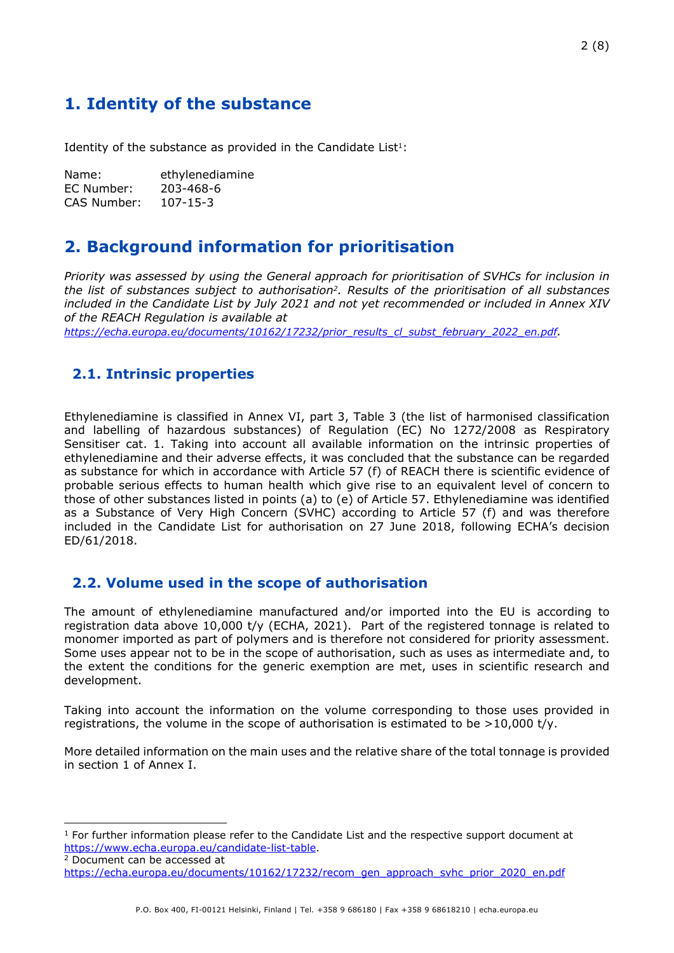# <span id="page-1-0"></span>**1. Identity of the substance**

Identity of the substance as provided in the Candidate List $1$ :

| Name:       | ethylenediamine |
|-------------|-----------------|
| EC Number:  | 203-468-6       |
| CAS Number: | $107 - 15 - 3$  |

# <span id="page-1-1"></span>**2. Background information for prioritisation**

*Priority was assessed by using the General approach for prioritisation of SVHCs for inclusion in the list of substances subject to authorisation2. Results of the prioritisation of all substances included in the Candidate List by July 2021 and not yet recommended or included in Annex XIV of the REACH Regulation is available at*

*[https://echa.europa.eu/documents/10162/17232/prior\\_results\\_cl\\_subst\\_february\\_2022\\_en.pdf](https://echa.europa.eu/documents/10162/17232/prior_results_cl_subst_february_2022_en.pdf).* 

## <span id="page-1-2"></span>**2.1. Intrinsic properties**

Ethylenediamine is classified in Annex VI, part 3, Table 3 (the list of harmonised classification and labelling of hazardous substances) of Regulation (EC) No 1272/2008 as Respiratory Sensitiser cat. 1. Taking into account all available information on the intrinsic properties of ethylenediamine and their adverse effects, it was concluded that the substance can be regarded as substance for which in accordance with Article 57 (f) of REACH there is scientific evidence of probable serious effects to human health which give rise to an equivalent level of concern to those of other substances listed in points (a) to (e) of Article 57. Ethylenediamine was identified as a Substance of Very High Concern (SVHC) according to Article 57 (f) and was therefore included in the Candidate List for authorisation on 27 June 2018, following ECHA's decision ED/61/2018.

## <span id="page-1-3"></span>**2.2. Volume used in the scope of authorisation**

The amount of ethylenediamine manufactured and/or imported into the EU is according to registration data above 10,000 t/y (ECHA, 2021). Part of the registered tonnage is related to monomer imported as part of polymers and is therefore not considered for priority assessment. Some uses appear not to be in the scope of authorisation, such as uses as intermediate and, to the extent the conditions for the generic exemption are met, uses in scientific research and development.

Taking into account the information on the volume corresponding to those uses provided in registrations, the volume in the scope of authorisation is estimated to be  $>10,000$  t/y.

More detailed information on the main uses and the relative share of the total tonnage is provided in section 1 of Annex I.

<sup>&</sup>lt;sup>1</sup> For further information please refer to the Candidate List and the respective support document at <https://www.echa.europa.eu/candidate-list-table>.

<sup>2</sup> Document can be accessed at [https://echa.europa.eu/documents/10162/17232/recom\\_gen\\_approach\\_svhc\\_prior\\_2020\\_en.pdf](https://echa.europa.eu/documents/10162/17232/recom_gen_approach_svhc_prior_2020_en.pdf)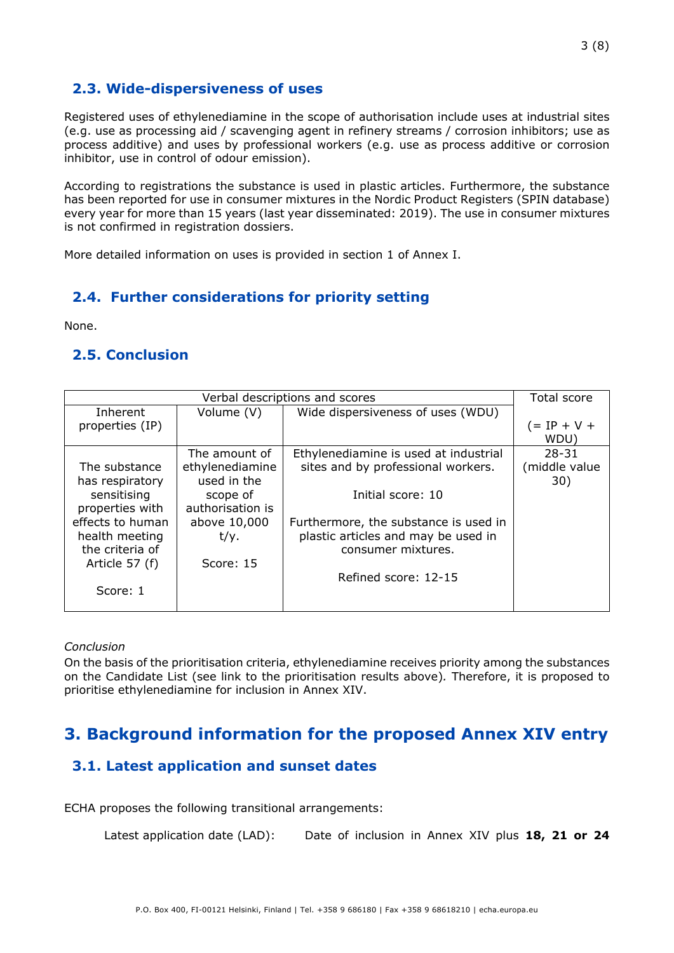## <span id="page-2-0"></span>**2.3. Wide-dispersiveness of uses**

Registered uses of ethylenediamine in the scope of authorisation include uses at industrial sites (e.g. use as processing aid / scavenging agent in refinery streams / corrosion inhibitors; use as process additive) and uses by professional workers (e.g. use as process additive or corrosion inhibitor, use in control of odour emission).

According to registrations the substance is used in plastic articles. Furthermore, the substance has been reported for use in consumer mixtures in the Nordic Product Registers (SPIN database) every year for more than 15 years (last year disseminated: 2019). The use in consumer mixtures is not confirmed in registration dossiers.

More detailed information on uses is provided in section 1 of Annex I.

## <span id="page-2-1"></span>**2.4. Further considerations for priority setting**

None.

## <span id="page-2-2"></span>**2.5. Conclusion**

| Verbal descriptions and scores |                  |                                       | Total score   |
|--------------------------------|------------------|---------------------------------------|---------------|
| Inherent                       | Volume (V)       | Wide dispersiveness of uses (WDU)     |               |
| properties (IP)                |                  |                                       | (= IP + V +   |
|                                |                  |                                       | WDU)          |
|                                | The amount of    | Ethylenediamine is used at industrial | $28 - 31$     |
| The substance                  | ethylenediamine  | sites and by professional workers.    | (middle value |
| has respiratory                | used in the      |                                       | 30)           |
| sensitising                    | scope of         | Initial score: 10                     |               |
| properties with                | authorisation is |                                       |               |
| effects to human               | above 10,000     | Furthermore, the substance is used in |               |
| health meeting                 | t/y.             | plastic articles and may be used in   |               |
| the criteria of                |                  | consumer mixtures.                    |               |
| Article 57 (f)                 | Score: 15        |                                       |               |
|                                |                  | Refined score: 12-15                  |               |
| Score: 1                       |                  |                                       |               |
|                                |                  |                                       |               |

#### *Conclusion*

On the basis of the prioritisation criteria, ethylenediamine receives priority among the substances on the Candidate List (see link to the prioritisation results above)*.* Therefore, it is proposed to prioritise ethylenediamine for inclusion in Annex XIV.

# <span id="page-2-3"></span>**3. Background information for the proposed Annex XIV entry**

## <span id="page-2-4"></span>**3.1. Latest application and sunset dates**

ECHA proposes the following transitional arrangements:

```
Latest application date (LAD): Date of inclusion in Annex XIV plus 18, 21 or 24
```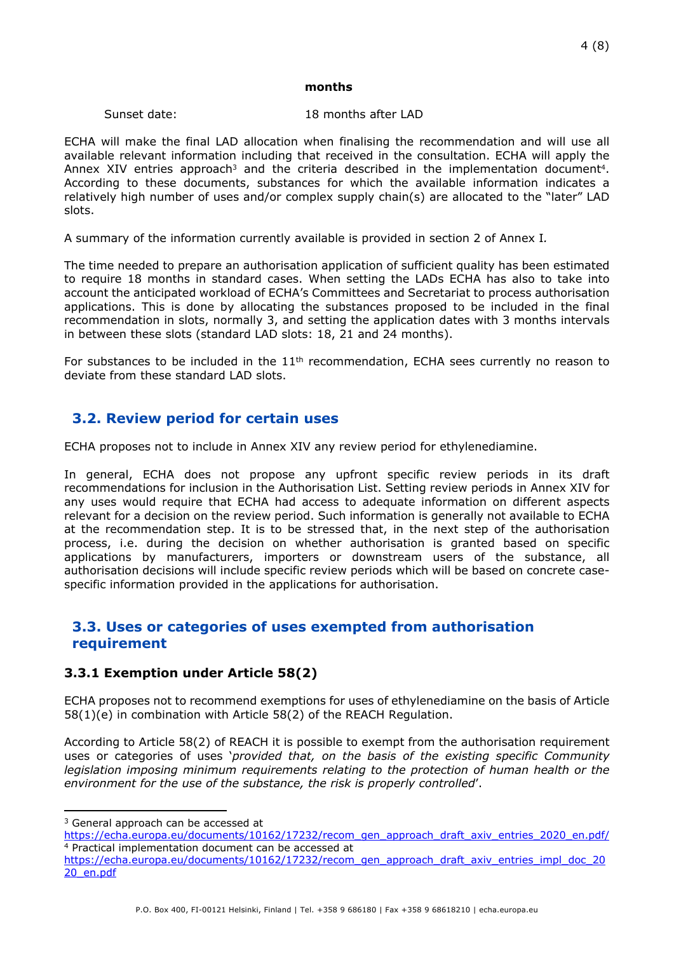#### **months**

#### Sunset date: 18 months after LAD

ECHA will make the final LAD allocation when finalising the recommendation and will use all available relevant information including that received in the consultation. ECHA will apply the Annex XIV entries approach<sup>3</sup> and the criteria described in the implementation document<sup>4</sup>. According to these documents, substances for which the available information indicates a relatively high number of uses and/or complex supply chain(s) are allocated to the "later" LAD slots.

A summary of the information currently available is provided in section 2 of Annex I*.* 

The time needed to prepare an authorisation application of sufficient quality has been estimated to require 18 months in standard cases. When setting the LADs ECHA has also to take into account the anticipated workload of ECHA's Committees and Secretariat to process authorisation applications. This is done by allocating the substances proposed to be included in the final recommendation in slots, normally 3, and setting the application dates with 3 months intervals in between these slots (standard LAD slots: 18, 21 and 24 months).

For substances to be included in the  $11<sup>th</sup>$  recommendation, ECHA sees currently no reason to deviate from these standard LAD slots.

## <span id="page-3-0"></span>**3.2. Review period for certain uses**

ECHA proposes not to include in Annex XIV any review period for ethylenediamine.

In general, ECHA does not propose any upfront specific review periods in its draft recommendations for inclusion in the Authorisation List. Setting review periods in Annex XIV for any uses would require that ECHA had access to adequate information on different aspects relevant for a decision on the review period. Such information is generally not available to ECHA at the recommendation step. It is to be stressed that, in the next step of the authorisation process, i.e. during the decision on whether authorisation is granted based on specific applications by manufacturers, importers or downstream users of the substance, all authorisation decisions will include specific review periods which will be based on concrete casespecific information provided in the applications for authorisation.

## <span id="page-3-1"></span>**3.3. Uses or categories of uses exempted from authorisation requirement**

#### **3.3.1 Exemption under Article 58(2)**

ECHA proposes not to recommend exemptions for uses of ethylenediamine on the basis of Article 58(1)(e) in combination with Article 58(2) of the REACH Regulation.

According to Article 58(2) of REACH it is possible to exempt from the authorisation requirement uses or categories of uses '*provided that, on the basis of the existing specific Community legislation imposing minimum requirements relating to the protection of human health or the environment for the use of the substance, the risk is properly controlled*'.

<sup>&</sup>lt;sup>3</sup> General approach can be accessed at

[https://echa.europa.eu/documents/10162/17232/recom\\_gen\\_approach\\_draft\\_axiv\\_entries\\_2020\\_en.pdf/](https://echa.europa.eu/documents/10162/17232/recom_gen_approach_draft_axiv_entries_2020_en.pdf/) <sup>4</sup> Practical implementation document can be accessed at

[https://echa.europa.eu/documents/10162/17232/recom\\_gen\\_approach\\_draft\\_axiv\\_entries\\_impl\\_doc\\_20](https://echa.europa.eu/documents/10162/17232/recom_gen_approach_draft_axiv_entries_impl_doc_2020_en.pdf) [20\\_en.pdf](https://echa.europa.eu/documents/10162/17232/recom_gen_approach_draft_axiv_entries_impl_doc_2020_en.pdf)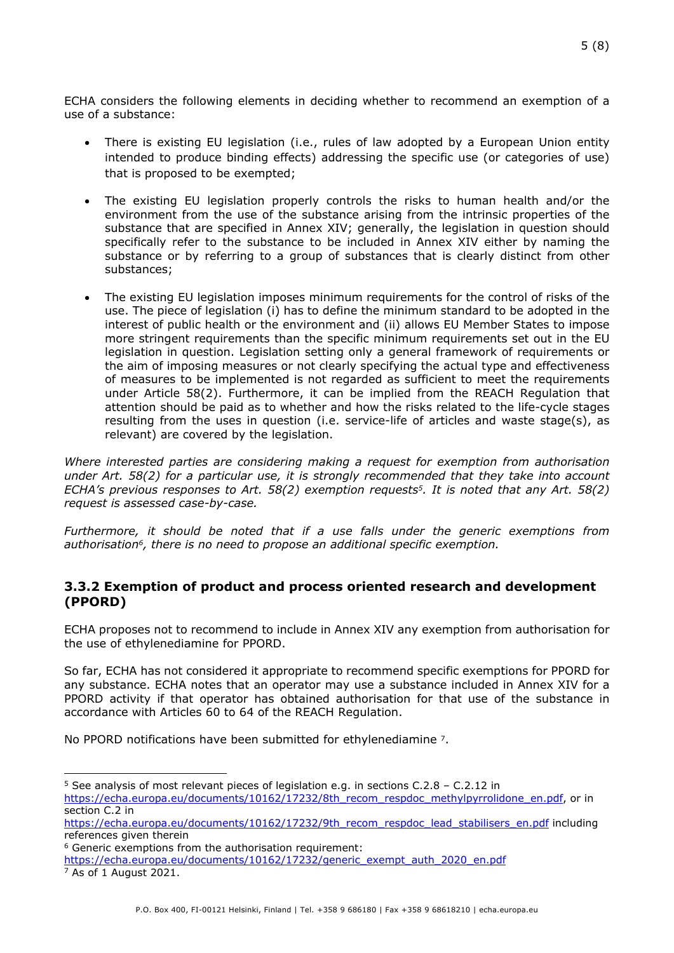ECHA considers the following elements in deciding whether to recommend an exemption of a use of a substance:

- There is existing EU legislation (i.e., rules of law adopted by a European Union entity intended to produce binding effects) addressing the specific use (or categories of use) that is proposed to be exempted;
- The existing EU legislation properly controls the risks to human health and/or the environment from the use of the substance arising from the intrinsic properties of the substance that are specified in Annex XIV; generally, the legislation in question should specifically refer to the substance to be included in Annex XIV either by naming the substance or by referring to a group of substances that is clearly distinct from other substances;
- The existing EU legislation imposes minimum requirements for the control of risks of the use. The piece of legislation (i) has to define the minimum standard to be adopted in the interest of public health or the environment and (ii) allows EU Member States to impose more stringent requirements than the specific minimum requirements set out in the EU legislation in question. Legislation setting only a general framework of requirements or the aim of imposing measures or not clearly specifying the actual type and effectiveness of measures to be implemented is not regarded as sufficient to meet the requirements under Article 58(2). Furthermore, it can be implied from the REACH Regulation that attention should be paid as to whether and how the risks related to the life-cycle stages resulting from the uses in question (i.e. service-life of articles and waste stage(s), as relevant) are covered by the legislation.

*Where interested parties are considering making a request for exemption from authorisation under Art. 58(2) for a particular use, it is strongly recommended that they take into account ECHA's previous responses to Art. 58(2) exemption requests5. It is noted that any Art. 58(2) request is assessed case-by-case.*

*Furthermore, it should be noted that if a use falls under the generic exemptions from authorisation6, there is no need to propose an additional specific exemption.*

### **3.3.2 Exemption of product and process oriented research and development (PPORD)**

ECHA proposes not to recommend to include in Annex XIV any exemption from authorisation for the use of ethylenediamine for PPORD.

So far, ECHA has not considered it appropriate to recommend specific exemptions for PPORD for any substance. ECHA notes that an operator may use a substance included in Annex XIV for a PPORD activity if that operator has obtained authorisation for that use of the substance in accordance with Articles 60 to 64 of the REACH Regulation.

No PPORD notifications have been submitted for ethylenediamine 7.

 $5$  See analysis of most relevant pieces of legislation e.g. in sections C.2.8 – C.2.12 in [https://echa.europa.eu/documents/10162/17232/8th\\_recom\\_respdoc\\_methylpyrrolidone\\_en.pdf](https://echa.europa.eu/documents/10162/17232/8th_recom_respdoc_methylpyrrolidone_en.pdf), or in section C.2 in

[https://echa.europa.eu/documents/10162/17232/9th\\_recom\\_respdoc\\_lead\\_stabilisers\\_en.pdf](https://echa.europa.eu/documents/10162/17232/9th_recom_respdoc_lead_stabilisers_en.pdf) including references given therein

<sup>6</sup> Generic exemptions from the authorisation requirement:

[https://echa.europa.eu/documents/10162/17232/generic\\_exempt\\_auth\\_2020\\_en.pdf](https://echa.europa.eu/documents/10162/17232/generic_exempt_auth_2020_en.pdf) 7 As of 1 August 2021.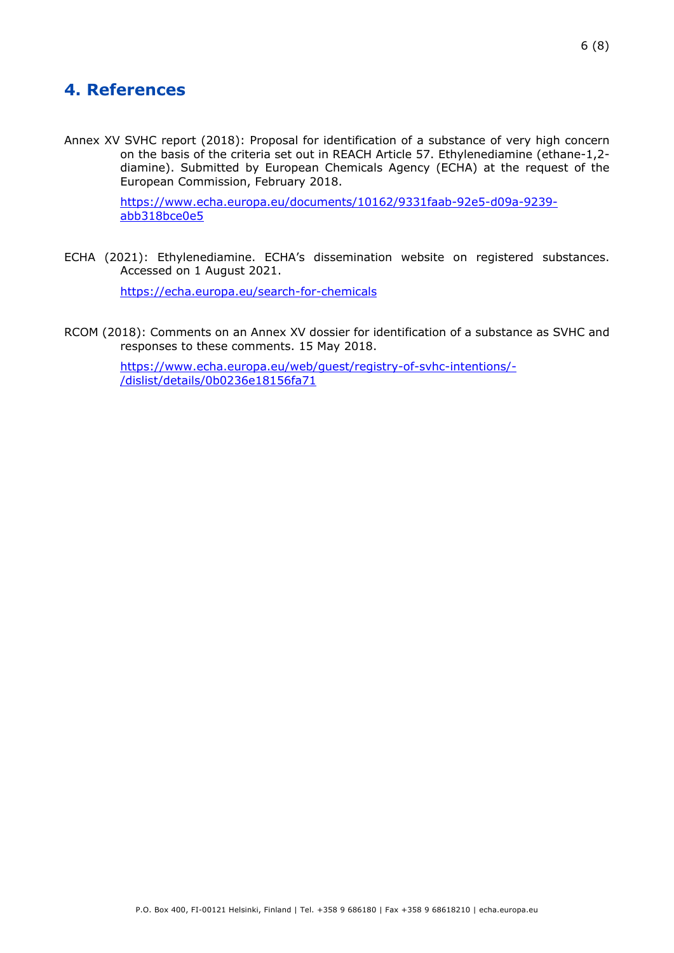# <span id="page-5-0"></span>**4. References**

Annex XV SVHC report (2018): Proposal for identification of a substance of very high concern on the basis of the criteria set out in REACH Article 57. Ethylenediamine (ethane-1,2 diamine). Submitted by European Chemicals Agency (ECHA) at the request of the European Commission, February 2018.

> [https://www.echa.europa.eu/documents/10162/9331faab-92e5-d09a-9239](https://www.echa.europa.eu/documents/10162/9331faab-92e5-d09a-9239-abb318bce0e5) [abb318bce0e5](https://www.echa.europa.eu/documents/10162/9331faab-92e5-d09a-9239-abb318bce0e5)

ECHA (2021): Ethylenediamine. ECHA's dissemination website on registered substances. Accessed on 1 August 2021.

<https://echa.europa.eu/search-for-chemicals>

RCOM (2018): Comments on an Annex XV dossier for identification of a substance as SVHC and responses to these comments. 15 May 2018.

> [https://www.echa.europa.eu/web/guest/registry-of-svhc-intentions/-](https://www.echa.europa.eu/web/guest/registry-of-svhc-intentions/-/dislist/details/0b0236e18156fa71) [/dislist/details/0b0236e18156fa71](https://www.echa.europa.eu/web/guest/registry-of-svhc-intentions/-/dislist/details/0b0236e18156fa71)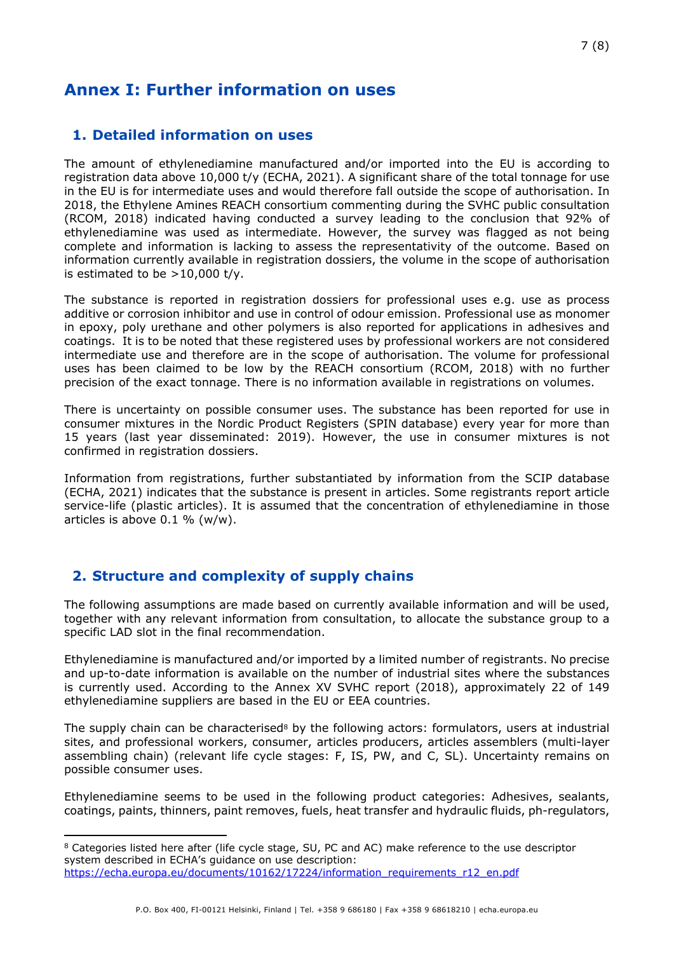# <span id="page-6-0"></span>**Annex I: Further information on uses**

## **1. Detailed information on uses**

The amount of ethylenediamine manufactured and/or imported into the EU is according to registration data above 10,000 t/y (ECHA, 2021). A significant share of the total tonnage for use in the EU is for intermediate uses and would therefore fall outside the scope of authorisation. In 2018, the Ethylene Amines REACH consortium commenting during the SVHC public consultation (RCOM, 2018) indicated having conducted a survey leading to the conclusion that 92% of ethylenediamine was used as intermediate. However, the survey was flagged as not being complete and information is lacking to assess the representativity of the outcome. Based on information currently available in registration dossiers, the volume in the scope of authorisation is estimated to be  $>10,000$  t/v.

The substance is reported in registration dossiers for professional uses e.g. use as process additive or corrosion inhibitor and use in control of odour emission. Professional use as monomer in epoxy, poly urethane and other polymers is also reported for applications in adhesives and coatings. It is to be noted that these registered uses by professional workers are not considered intermediate use and therefore are in the scope of authorisation. The volume for professional uses has been claimed to be low by the REACH consortium (RCOM, 2018) with no further precision of the exact tonnage. There is no information available in registrations on volumes.

There is uncertainty on possible consumer uses. The substance has been reported for use in consumer mixtures in the Nordic Product Registers (SPIN database) every year for more than 15 years (last year disseminated: 2019). However, the use in consumer mixtures is not confirmed in registration dossiers.

Information from registrations, further substantiated by information from the SCIP database (ECHA, 2021) indicates that the substance is present in articles. Some registrants report article service-life (plastic articles). It is assumed that the concentration of ethylenediamine in those articles is above 0.1 % (w/w).

## **2. Structure and complexity of supply chains**

The following assumptions are made based on currently available information and will be used, together with any relevant information from consultation, to allocate the substance group to a specific LAD slot in the final recommendation.

Ethylenediamine is manufactured and/or imported by a limited number of registrants. No precise and up-to-date information is available on the number of industrial sites where the substances is currently used. According to the Annex XV SVHC report (2018), approximately 22 of 149 ethylenediamine suppliers are based in the EU or EEA countries.

The supply chain can be characterised<sup>8</sup> by the following actors: formulators, users at industrial sites, and professional workers, consumer, articles producers, articles assemblers (multi-layer assembling chain) (relevant life cycle stages: F, IS, PW, and C, SL). Uncertainty remains on possible consumer uses.

Ethylenediamine seems to be used in the following product categories: Adhesives, sealants, coatings, paints, thinners, paint removes, fuels, heat transfer and hydraulic fluids, ph-regulators,

<sup>8</sup> Categories listed here after (life cycle stage, SU, PC and AC) make reference to the use descriptor system described in ECHA's guidance on use description: [https://echa.europa.eu/documents/10162/17224/information\\_requirements\\_r12\\_en.pdf](https://echa.europa.eu/documents/10162/17224/information_requirements_r12_en.pdf)